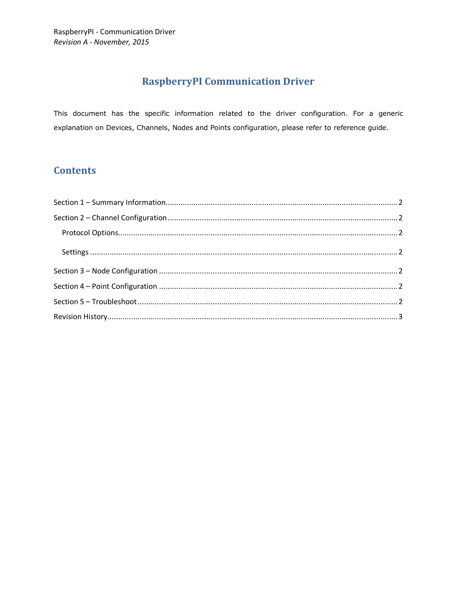# **RaspberryPI Communication Driver**

This document has the specific information related to the driver configuration. For a generic explanation on Devices, Channels, Nodes and Points configuration, please refer to reference guide.

## **Contents**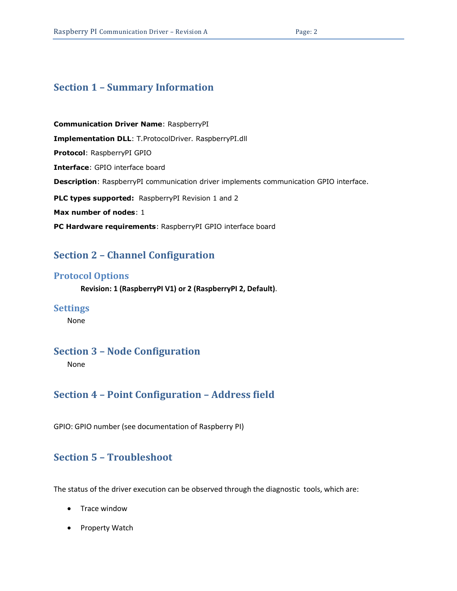### <span id="page-1-0"></span>**Section 1 – Summary Information**

**Communication Driver Name**: RaspberryPI **Implementation DLL**: T.ProtocolDriver. RaspberryPI.dll **Protocol**: RaspberryPI GPIO **Interface**: GPIO interface board **Description**: RaspberryPI communication driver implements communication GPIO interface. PLC types supported: RaspberryPI Revision 1 and 2 **Max number of nodes**: 1 **PC Hardware requirements**: RaspberryPI GPIO interface board

### <span id="page-1-1"></span>**Section 2 – Channel Configuration**

#### <span id="page-1-2"></span>**Protocol Options**

**Revision: 1 (RaspberryPI V1) or 2 (RaspberryPI 2, Default)**.

#### <span id="page-1-3"></span>**Settings**

None

### <span id="page-1-4"></span>**Section 3 – Node Configuration**

None

### <span id="page-1-5"></span>**Section 4 – Point Configuration – Address field**

GPIO: GPIO number (see documentation of Raspberry PI)

### <span id="page-1-6"></span>**Section 5 – Troubleshoot**

The status of the driver execution can be observed through the diagnostic tools, which are:

- Trace window
- Property Watch